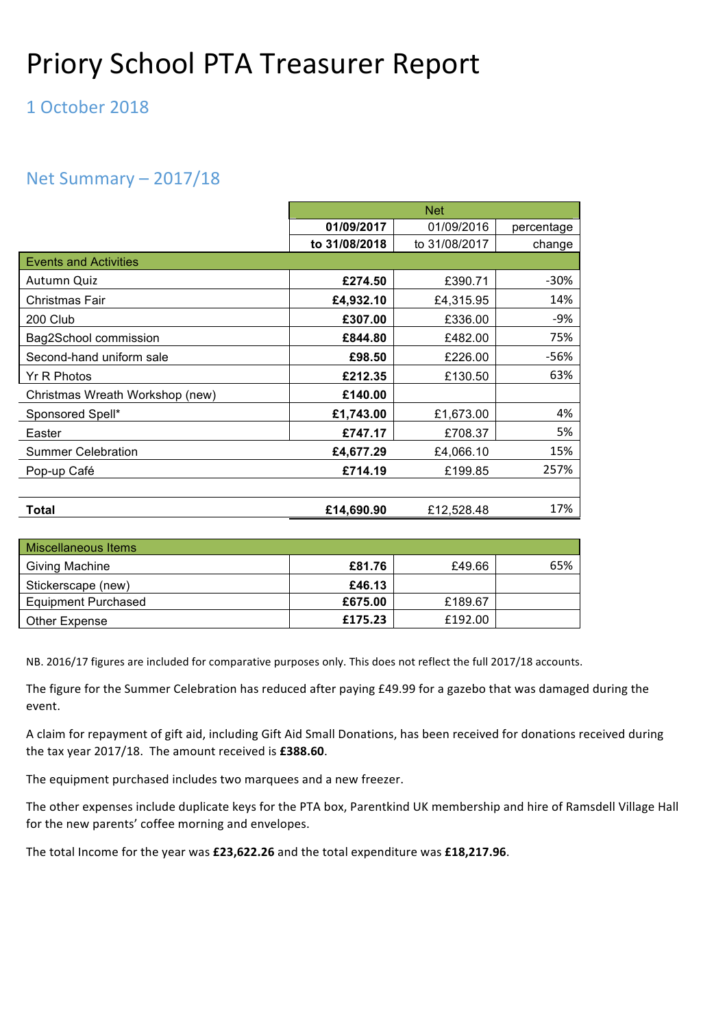# Priory School PTA Treasurer Report

#### 1 October 2018

#### Net Summary  $-2017/18$

|                                 | <b>Net</b>    |               |            |  |  |
|---------------------------------|---------------|---------------|------------|--|--|
|                                 | 01/09/2017    | 01/09/2016    | percentage |  |  |
|                                 | to 31/08/2018 | to 31/08/2017 | change     |  |  |
| <b>Events and Activities</b>    |               |               |            |  |  |
| Autumn Quiz                     | £274.50       | £390.71       | $-30%$     |  |  |
| Christmas Fair                  | £4,932.10     | £4,315.95     | 14%        |  |  |
| 200 Club                        | £307.00       | £336.00       | $-9%$      |  |  |
| Bag2School commission           | £844.80       | £482.00       | 75%        |  |  |
| Second-hand uniform sale        | £98.50        | £226.00       | -56%       |  |  |
| Yr R Photos                     | £212.35       | £130.50       | 63%        |  |  |
| Christmas Wreath Workshop (new) | £140.00       |               |            |  |  |
| Sponsored Spell*                | £1,743.00     | £1,673.00     | 4%         |  |  |
| Easter                          | £747.17       | £708.37       | 5%         |  |  |
| <b>Summer Celebration</b>       | £4,677.29     | £4,066.10     | 15%        |  |  |
| Pop-up Café                     | £714.19       | £199.85       | 257%       |  |  |
|                                 |               |               |            |  |  |
| <b>Total</b>                    | £14,690.90    | £12,528.48    | 17%        |  |  |

| Miscellaneous Items        |         |         |     |  |
|----------------------------|---------|---------|-----|--|
| <b>Giving Machine</b>      | £81.76  | £49.66  | 65% |  |
| Stickerscape (new)         | £46.13  |         |     |  |
| <b>Equipment Purchased</b> | £675.00 | £189.67 |     |  |
| Other Expense              | £175.23 | £192.00 |     |  |

NB. 2016/17 figures are included for comparative purposes only. This does not reflect the full 2017/18 accounts.

The figure for the Summer Celebration has reduced after paying £49.99 for a gazebo that was damaged during the event.

A claim for repayment of gift aid, including Gift Aid Small Donations, has been received for donations received during the tax year 2017/18. The amount received is £388.60.

The equipment purchased includes two marquees and a new freezer.

The other expenses include duplicate keys for the PTA box, Parentkind UK membership and hire of Ramsdell Village Hall for the new parents' coffee morning and envelopes.

The total Income for the year was £23,622.26 and the total expenditure was £18,217.96.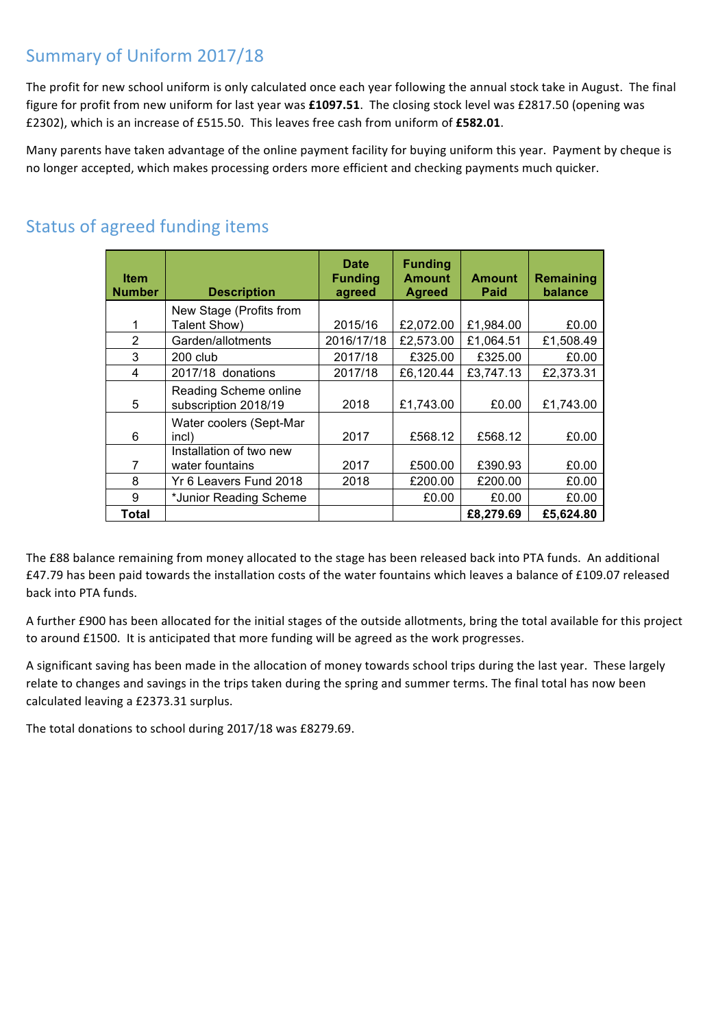#### Summary of Uniform 2017/18

The profit for new school uniform is only calculated once each year following the annual stock take in August. The final figure for profit from new uniform for last year was  $£1097.51$ . The closing stock level was £2817.50 (opening was £2302), which is an increase of £515.50. This leaves free cash from uniform of £582.01.

Many parents have taken advantage of the online payment facility for buying uniform this year. Payment by cheque is no longer accepted, which makes processing orders more efficient and checking payments much quicker.

| <b>Item</b><br><b>Number</b> | <b>Description</b>                            | <b>Date</b><br><b>Funding</b><br>agreed | <b>Funding</b><br><b>Amount</b><br><b>Agreed</b> | <b>Amount</b><br>Paid | Remaining<br>balance |
|------------------------------|-----------------------------------------------|-----------------------------------------|--------------------------------------------------|-----------------------|----------------------|
|                              | New Stage (Profits from                       |                                         |                                                  |                       |                      |
| 1                            | Talent Show)                                  | 2015/16                                 | £2,072.00                                        | £1,984.00             | £0.00                |
| $\overline{2}$               | Garden/allotments                             | 2016/17/18                              | £2,573.00                                        | £1,064.51             | £1,508.49            |
| 3                            | $200$ club                                    | 2017/18                                 | £325.00                                          | £325.00               | £0.00                |
| 4                            | 2017/18 donations                             | 2017/18                                 | £6,120.44                                        | £3,747.13             | £2,373.31            |
| 5                            | Reading Scheme online<br>subscription 2018/19 | 2018                                    | £1,743.00                                        | £0.00                 | £1,743.00            |
| 6                            | Water coolers (Sept-Mar<br>incl)              | 2017                                    | £568.12                                          | £568.12               | £0.00                |
| 7                            | Installation of two new<br>water fountains    | 2017                                    | £500.00                                          | £390.93               | £0.00                |
| 8                            | Yr 6 Leavers Fund 2018                        | 2018                                    | £200.00                                          | £200.00               | £0.00                |
| 9                            | *Junior Reading Scheme                        |                                         | £0.00                                            | £0.00                 | £0.00                |
| Total                        |                                               |                                         |                                                  | £8,279.69             | £5,624.80            |

## Status of agreed funding items

The £88 balance remaining from money allocated to the stage has been released back into PTA funds. An additional £47.79 has been paid towards the installation costs of the water fountains which leaves a balance of £109.07 released back into PTA funds.

A further £900 has been allocated for the initial stages of the outside allotments, bring the total available for this project to around £1500. It is anticipated that more funding will be agreed as the work progresses.

A significant saving has been made in the allocation of money towards school trips during the last year. These largely relate to changes and savings in the trips taken during the spring and summer terms. The final total has now been calculated leaving a £2373.31 surplus.

The total donations to school during 2017/18 was £8279.69.